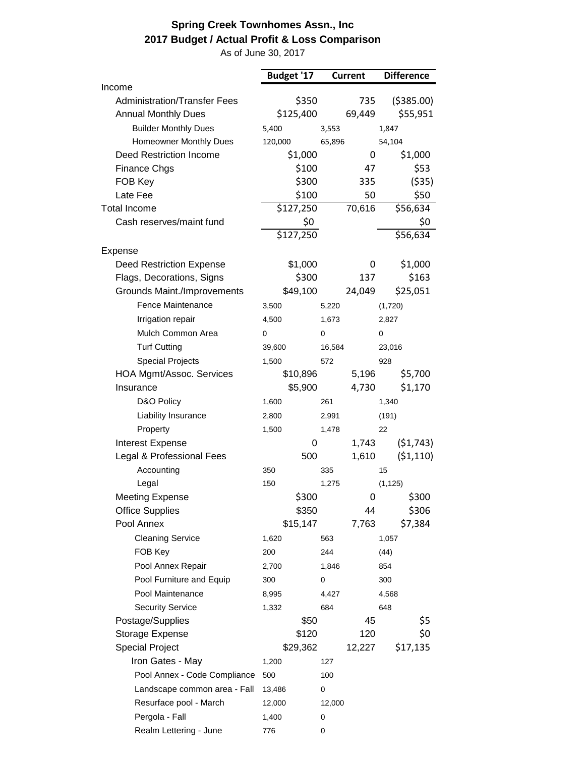## **Spring Creek Townhomes Assn., Inc 2017 Budget / Actual Profit & Loss Comparison**

As of June 30, 2017

|                                     | Budget '17 | <b>Current</b> | <b>Difference</b>     |
|-------------------------------------|------------|----------------|-----------------------|
| Income                              |            |                |                       |
| <b>Administration/Transfer Fees</b> | \$350      | 735            | (5385.00)             |
| <b>Annual Monthly Dues</b>          | \$125,400  | 69,449         | \$55,951              |
| <b>Builder Monthly Dues</b>         | 5,400      | 3,553          | 1,847                 |
| Homeowner Monthly Dues              | 120,000    | 65,896         | 54,104                |
| <b>Deed Restriction Income</b>      | \$1,000    | 0              | \$1,000               |
| <b>Finance Chgs</b>                 | \$100      | 47             | \$53                  |
| FOB Key                             | \$300      | 335            | ( \$35)               |
| Late Fee                            | \$100      | 50             | \$50                  |
| <b>Total Income</b>                 | \$127,250  | 70,616         | \$56,634              |
| Cash reserves/maint fund            | \$0        |                | \$0                   |
|                                     | \$127,250  |                | \$56,634              |
| Expense                             |            |                |                       |
| <b>Deed Restriction Expense</b>     | \$1,000    | 0              | \$1,000               |
| Flags, Decorations, Signs           | \$300      | 137            | \$163                 |
| Grounds Maint./Improvements         | \$49,100   | 24,049         | \$25,051              |
| Fence Maintenance                   | 3,500      | 5,220          | (1,720)               |
| Irrigation repair                   | 4,500      | 1,673          | 2,827                 |
| Mulch Common Area                   | 0          | 0              | 0                     |
| <b>Turf Cutting</b>                 | 39,600     | 16,584         | 23,016                |
| <b>Special Projects</b>             | 1,500      | 572            | 928                   |
| HOA Mgmt/Assoc. Services            | \$10,896   | 5,196          | \$5,700               |
| Insurance                           | \$5,900    | 4,730          | \$1,170               |
| D&O Policy                          | 1,600      | 261            | 1,340                 |
| Liability Insurance                 | 2,800      | 2,991          | (191)                 |
| Property                            | 1,500      | 1,478          | 22                    |
| Interest Expense                    | 0          | 1,743          | (51,743)              |
| Legal & Professional Fees           | 500        | 1,610          | (51, 110)             |
| Accounting                          | 350        | 335            | 15                    |
| Legal                               | 150        | 1,275          | (1, 125)              |
| <b>Meeting Expense</b>              | \$300      |                | \$300<br>$\mathbf{0}$ |
| <b>Office Supplies</b>              | \$350      | 44             | \$306                 |
| Pool Annex                          | \$15,147   | 7,763          | \$7,384               |
| <b>Cleaning Service</b>             | 1,620      | 563            | 1,057                 |
| FOB Key                             | 200        | 244            | (44)                  |
| Pool Annex Repair                   | 2,700      | 1,846          | 854                   |
| Pool Furniture and Equip            | 300        | 0              | 300                   |
| Pool Maintenance                    | 8,995      | 4,427          | 4,568                 |
| <b>Security Service</b>             | 1,332      | 684            | 648                   |
| Postage/Supplies                    | \$50       | 45             | \$5                   |
| Storage Expense                     | \$120      | 120            | \$0                   |
| <b>Special Project</b>              | \$29,362   | 12,227         | \$17,135              |
| Iron Gates - May                    | 1,200      | 127            |                       |
|                                     |            |                |                       |
| Pool Annex - Code Compliance        | 500        | 100            |                       |
| Landscape common area - Fall        | 13,486     | 0              |                       |
| Resurface pool - March              | 12,000     | 12,000         |                       |
| Pergola - Fall                      | 1,400      | 0              |                       |
| Realm Lettering - June              | 776        | 0              |                       |